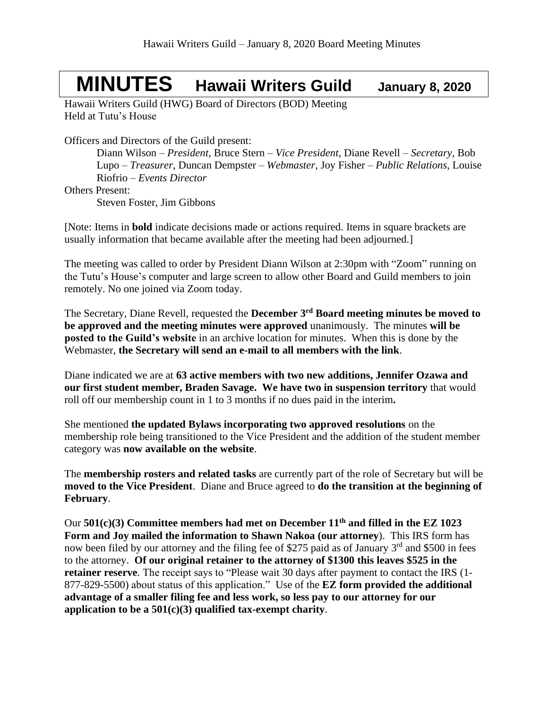## **MINUTES Hawaii Writers Guild January 8, <sup>2020</sup>**

Hawaii Writers Guild (HWG) Board of Directors (BOD) Meeting Held at Tutu's House

Officers and Directors of the Guild present:

Diann Wilson – *President*, Bruce Stern – *Vice President*, Diane Revell – *Secretary*, Bob Lupo – *Treasurer*, Duncan Dempster – *Webmaster,* Joy Fisher – *Public Relations,* Louise Riofrio – *Events Director*

Others Present:

Steven Foster, Jim Gibbons

[Note: Items in **bold** indicate decisions made or actions required. Items in square brackets are usually information that became available after the meeting had been adjourned.]

The meeting was called to order by President Diann Wilson at 2:30pm with "Zoom" running on the Tutu's House's computer and large screen to allow other Board and Guild members to join remotely. No one joined via Zoom today.

The Secretary, Diane Revell, requested the **December 3 rd Board meeting minutes be moved to be approved and the meeting minutes were approved** unanimously. The minutes **will be posted to the Guild's website** in an archive location for minutes. When this is done by the Webmaster, **the Secretary will send an e-mail to all members with the link**.

Diane indicated we are at **63 active members with two new additions, Jennifer Ozawa and our first student member, Braden Savage. We have two in suspension territory** that would roll off our membership count in 1 to 3 months if no dues paid in the interim**.**

She mentioned **the updated Bylaws incorporating two approved resolutions** on the membership role being transitioned to the Vice President and the addition of the student member category was **now available on the website**.

The **membership rosters and related tasks** are currently part of the role of Secretary but will be **moved to the Vice President**. Diane and Bruce agreed to **do the transition at the beginning of February**.

Our **501(c)(3) Committee members had met on December 11th and filled in the EZ 1023 Form and Joy mailed the information to Shawn Nakoa (our attorney**). This IRS form has now been filed by our attorney and the filing fee of \$275 paid as of January 3<sup>rd</sup> and \$500 in fees to the attorney. **Of our original retainer to the attorney of \$1300 this leaves \$525 in the retainer reserve**. The receipt says to "Please wait 30 days after payment to contact the IRS (1- 877-829-5500) about status of this application." Use of the **EZ form provided the additional advantage of a smaller filing fee and less work, so less pay to our attorney for our application to be a 501(c)(3) qualified tax-exempt charity**.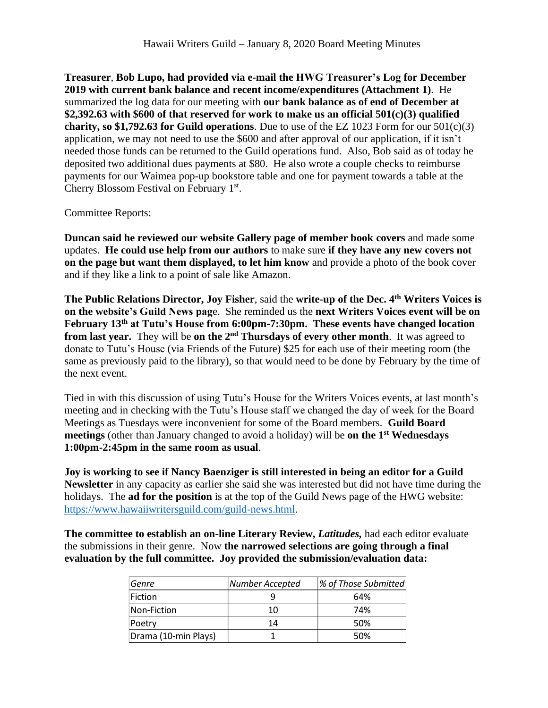**Treasurer**, **Bob Lupo, had provided via e-mail the HWG Treasurer's Log for December 2019 with current bank balance and recent income/expenditures (Attachment 1)**. He summarized the log data for our meeting with **our bank balance as of end of December at \$2,392.63 with \$600 of that reserved for work to make us an official 501(c)(3) qualified charity, so \$1,792.63 for Guild operations**. Due to use of the EZ 1023 Form for our 501(c)(3) application, we may not need to use the \$600 and after approval of our application, if it isn't needed those funds can be returned to the Guild operations fund. Also, Bob said as of today he deposited two additional dues payments at \$80. He also wrote a couple checks to reimburse payments for our Waimea pop-up bookstore table and one for payment towards a table at the Cherry Blossom Festival on February 1st.

Committee Reports:

**Duncan said he reviewed our website Gallery page of member book covers** and made some updates. **He could use help from our authors** to make sure **if they have any new covers not on the page but want them displayed, to let him know** and provide a photo of the book cover and if they like a link to a point of sale like Amazon.

**The Public Relations Director, Joy Fisher**, said the **write-up of the Dec. 4th Writers Voices is on the website's Guild News pag**e. She reminded us the **next Writers Voices event will be on February 13th at Tutu's House from 6:00pm-7:30pm. These events have changed location from last year.** They will be **on the 2<sup>nd</sup> Thursdays of every other month**. It was agreed to donate to Tutu's House (via Friends of the Future) \$25 for each use of their meeting room (the same as previously paid to the library), so that would need to be done by February by the time of the next event.

Tied in with this discussion of using Tutu's House for the Writers Voices events, at last month's meeting and in checking with the Tutu's House staff we changed the day of week for the Board Meetings as Tuesdays were inconvenient for some of the Board members. **Guild Board meetings** (other than January changed to avoid a holiday) will be **on the 1 st Wednesdays 1:00pm-2:45pm in the same room as usual**.

**Joy is working to see if Nancy Baenziger is still interested in being an editor for a Guild Newsletter** in any capacity as earlier she said she was interested but did not have time during the holidays. The **ad for the position** is at the top of the Guild News page of the HWG website: [https://www.hawaiiwritersguild.com/guild-news.html.](https://www.hawaiiwritersguild.com/guild-news.html)

**The committee to establish an on-line Literary Review,** *Latitudes,* had each editor evaluate the submissions in their genre. Now **the narrowed selections are going through a final evaluation by the full committee. Joy provided the submission/evaluation data:**

| Genre                    | Number Accepted | % of Those Submitted |
|--------------------------|-----------------|----------------------|
| Fiction                  |                 | 64%                  |
| $\sf Non\text{-}Fiction$ | 10              | 74%                  |
| Poetry                   | 14              | 50%                  |
| Drama (10-min Plays)     |                 | 50%                  |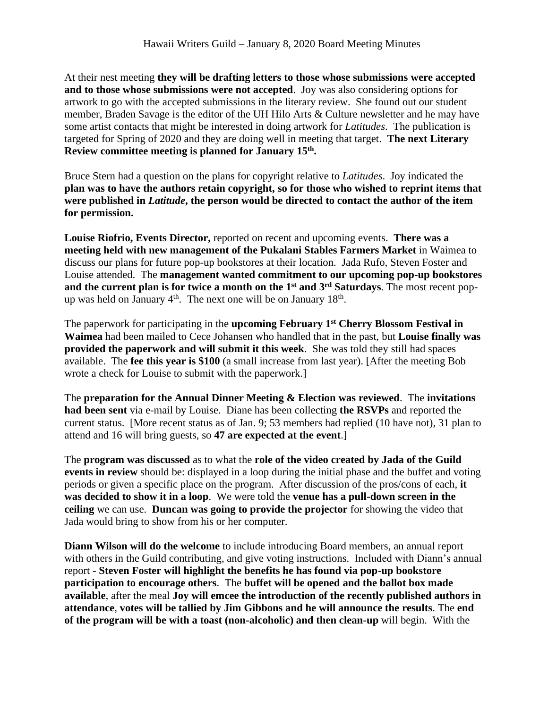At their nest meeting **they will be drafting letters to those whose submissions were accepted and to those whose submissions were not accepted**. Joy was also considering options for artwork to go with the accepted submissions in the literary review. She found out our student member, Braden Savage is the editor of the UH Hilo Arts & Culture newsletter and he may have some artist contacts that might be interested in doing artwork for *Latitudes*. The publication is targeted for Spring of 2020 and they are doing well in meeting that target. **The next Literary Review committee meeting is planned for January 15th .**

Bruce Stern had a question on the plans for copyright relative to *Latitudes*. Joy indicated the **plan was to have the authors retain copyright, so for those who wished to reprint items that were published in** *Latitude***, the person would be directed to contact the author of the item for permission.**

**Louise Riofrio, Events Director,** reported on recent and upcoming events. **There was a meeting held with new management of the Pukalani Stables Farmers Market** in Waimea to discuss our plans for future pop-up bookstores at their location. Jada Rufo, Steven Foster and Louise attended. The **management wanted commitment to our upcoming pop-up bookstores and the current plan is for twice a month on the 1st and 3rd Saturdays**. The most recent popup was held on January  $4<sup>th</sup>$ . The next one will be on January 18<sup>th</sup>.

The paperwork for participating in the **upcoming February 1st Cherry Blossom Festival in Waimea** had been mailed to Cece Johansen who handled that in the past, but **Louise finally was provided the paperwork and will submit it this week**. She was told they still had spaces available. The **fee this year is \$100** (a small increase from last year). [After the meeting Bob wrote a check for Louise to submit with the paperwork.]

The **preparation for the Annual Dinner Meeting & Election was reviewed**. The **invitations had been sent** via e-mail by Louise. Diane has been collecting **the RSVPs** and reported the current status. [More recent status as of Jan. 9; 53 members had replied (10 have not), 31 plan to attend and 16 will bring guests, so **47 are expected at the event**.]

The **program was discussed** as to what the **role of the video created by Jada of the Guild events in review** should be: displayed in a loop during the initial phase and the buffet and voting periods or given a specific place on the program. After discussion of the pros/cons of each, **it was decided to show it in a loop**. We were told the **venue has a pull-down screen in the ceiling** we can use. **Duncan was going to provide the projector** for showing the video that Jada would bring to show from his or her computer.

**Diann Wilson will do the welcome** to include introducing Board members, an annual report with others in the Guild contributing, and give voting instructions. Included with Diann's annual report - **Steven Foster will highlight the benefits he has found via pop-up bookstore participation to encourage others**. The **buffet will be opened and the ballot box made available**, after the meal **Joy will emcee the introduction of the recently published authors in attendance**, **votes will be tallied by Jim Gibbons and he will announce the results**. The **end of the program will be with a toast (non-alcoholic) and then clean-up** will begin. With the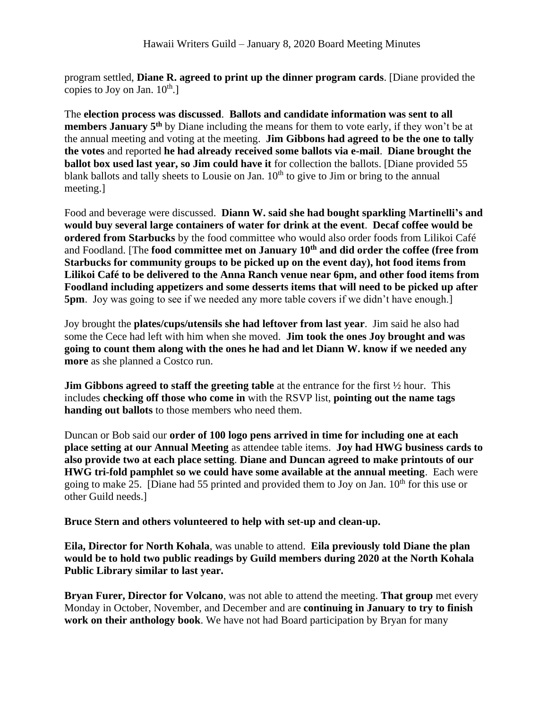program settled, **Diane R. agreed to print up the dinner program cards**. [Diane provided the copies to Joy on Jan.  $10^{th}$ .]

The **election process was discussed**. **Ballots and candidate information was sent to all members January 5th** by Diane including the means for them to vote early, if they won't be at the annual meeting and voting at the meeting. **Jim Gibbons had agreed to be the one to tally the votes** and reported **he had already received some ballots via e-mail**. **Diane brought the ballot box used last year, so Jim could have it** for collection the ballots. [Diane provided 55 blank ballots and tally sheets to Lousie on Jan.  $10<sup>th</sup>$  to give to Jim or bring to the annual meeting.]

Food and beverage were discussed. **Diann W. said she had bought sparkling Martinelli's and would buy several large containers of water for drink at the event**. **Decaf coffee would be ordered from Starbucks** by the food committee who would also order foods from Lilikoi Café and Foodland. [The **food committee met on January 10th and did order the coffee (free from Starbucks for community groups to be picked up on the event day), hot food items from Lilikoi Café to be delivered to the Anna Ranch venue near 6pm, and other food items from Foodland including appetizers and some desserts items that will need to be picked up after 5pm**. Joy was going to see if we needed any more table covers if we didn't have enough.]

Joy brought the **plates/cups/utensils she had leftover from last year**. Jim said he also had some the Cece had left with him when she moved. **Jim took the ones Joy brought and was going to count them along with the ones he had and let Diann W. know if we needed any more** as she planned a Costco run.

**Jim Gibbons agreed to staff the greeting table** at the entrance for the first ½ hour. This includes **checking off those who come in** with the RSVP list, **pointing out the name tags handing out ballots** to those members who need them.

Duncan or Bob said our **order of 100 logo pens arrived in time for including one at each place setting at our Annual Meeting** as attendee table items. **Joy had HWG business cards to also provide two at each place setting**. **Diane and Duncan agreed to make printouts of our HWG tri-fold pamphlet so we could have some available at the annual meeting**. Each were going to make 25. [Diane had 55 printed and provided them to Joy on Jan.  $10<sup>th</sup>$  for this use or other Guild needs.]

**Bruce Stern and others volunteered to help with set-up and clean-up.** 

**Eila, Director for North Kohala**, was unable to attend. **Eila previously told Diane the plan would be to hold two public readings by Guild members during 2020 at the North Kohala Public Library similar to last year.** 

**Bryan Furer, Director for Volcano**, was not able to attend the meeting. **That group** met every Monday in October, November, and December and are **continuing in January to try to finish work on their anthology book**. We have not had Board participation by Bryan for many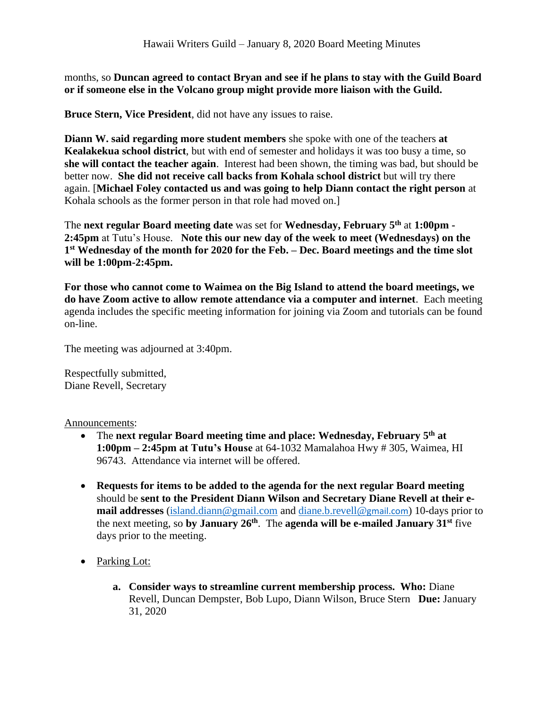months, so **Duncan agreed to contact Bryan and see if he plans to stay with the Guild Board or if someone else in the Volcano group might provide more liaison with the Guild.**

**Bruce Stern, Vice President**, did not have any issues to raise.

**Diann W. said regarding more student members** she spoke with one of the teachers **at Kealakekua school district**, but with end of semester and holidays it was too busy a time, so **she will contact the teacher again**. Interest had been shown, the timing was bad, but should be better now. **She did not receive call backs from Kohala school district** but will try there again. [**Michael Foley contacted us and was going to help Diann contact the right person** at Kohala schools as the former person in that role had moved on.]

The **next regular Board meeting date** was set for **Wednesday, February 5 th** at **1:00pm - 2:45pm** at Tutu's House. **Note this our new day of the week to meet (Wednesdays) on the 1 st Wednesday of the month for 2020 for the Feb. – Dec. Board meetings and the time slot will be 1:00pm-2:45pm.**

**For those who cannot come to Waimea on the Big Island to attend the board meetings, we do have Zoom active to allow remote attendance via a computer and internet**. Each meeting agenda includes the specific meeting information for joining via Zoom and tutorials can be found on-line.

The meeting was adjourned at 3:40pm.

Respectfully submitted, Diane Revell, Secretary

Announcements:

- The next regular Board meeting time and place: Wednesday, February 5<sup>th</sup> at **1:00pm – 2:45pm at Tutu's House** at 64-1032 Mamalahoa Hwy # 305, Waimea, HI 96743. Attendance via internet will be offered.
- **Requests for items to be added to the agenda for the next regular Board meeting** should be **sent to the President Diann Wilson and Secretary Diane Revell at their email addresses** [\(island.diann@gmail.com](mailto:island.diann@gmail.com) and [diane.b.revell@](mailto:diane.b.revell@gmail.com)gmail.com) 10-days prior to the next meeting, so by January 26<sup>th</sup>. The agenda will be e-mailed January 31<sup>st</sup> five days prior to the meeting.
- Parking Lot:
	- **a. Consider ways to streamline current membership process. Who:** Diane Revell, Duncan Dempster, Bob Lupo, Diann Wilson, Bruce Stern **Due:** January 31, 2020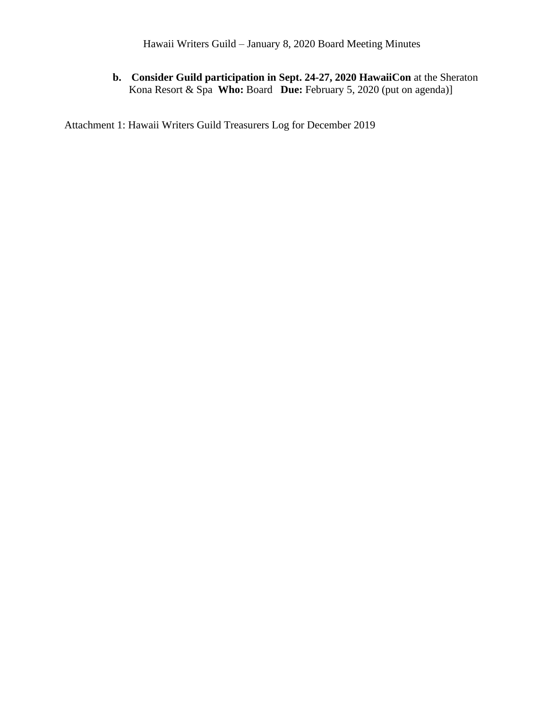## **b. Consider Guild participation in Sept. 24-27, 2020 HawaiiCon** at the Sheraton Kona Resort & Spa **Who:** Board **Due:** February 5, 2020 (put on agenda)]

Attachment 1: Hawaii Writers Guild Treasurers Log for December 2019